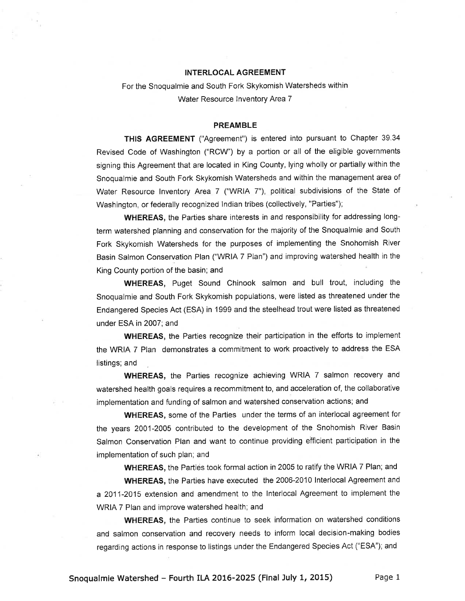# INTERLOCAL AGREEMENT

For the Snoqualmie and South Fork Skykomish Watersheds within Water Resource Inventory Area 7

## PREAMBLE

THIS AGREEMENT ("Agreement") is entered into pursuant to Chapter 39.34 Revised Code of Washington ('RCW") by a portion or all of the eligible governments signing this Agreement that are located in King County, lying wholly or partially within the Snoqualmie and South Fork Skykomish Watersheds and within the management area of Water Resource lnventory Area 7 ("WRIA 7"), political subdivisions of the State of Washington, or federally recognized lndian tribes (collectively, "Parties");

WHEREAS, the Parties share interests in and responsibility for addressing longterm watershed planning and conservation for the majority of the Snoqualmie and South Fork Skykomish Watersheds for the purposes of implementing the Snohomish River Basin Salmon Conservation Plan ('WRIA 7 Plan") and improving watershed health in the King County portion of the basin; and

WHEREAS, Puget Sound Chinook salmon and bull trout, including the Snoqualmie and South Fork Skykomish populations, were listed as threatened under the Endangered Species Act (ESA) in 1999 and the steelhead trout were listed as threatened under ESA in 2007; and

WHEREAS, the Parties recognize their participation in the efforts to implement the WRIA 7 Plan demonstrates a commitment to work proactively to address the ESA listings; and

WHEREAS, the Parties recognize achieving WRIA 7 salmon recovery and watershed health goals requires a recommitment to, and acceleration of, the collaborative implementation and funding of salmon and watershed conservation actions; and

WHEREAS, some of the Parties under the terms of an interlocal agreement for the years 2001-2005 contributed to the development of the Snohomish River Basin Salmon Conservation Plan and want to continue providing efficient participation in the implementation of such plan; and

WHEREAS, the Parties took formal action in 2005 to ratify the WRIA 7 Plan; and

WHEREAS, the Parties have executed the 2006-2010 Interlocal Agreement and a 2011-2015 extension and amendment to the lnterlocal Agreement to implement the WRIA 7 Plan and improve watershed health; and

WHEREAS, the Parties continue to seek information on watershed conditions and salmon conservation and recovery needs to inform local decision-making bodies regarding actions in response to listings under the Endangered Species Act ("ESA"); and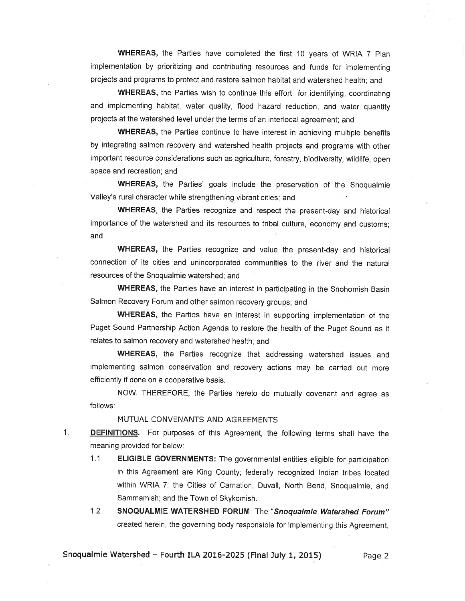WHEREAS, the Parties have completed the first 10 years of WRIA 7 Plan implementation by prioritizing and contributing resources and funds for implementing projects and programs to protect and restore salmon habitat and watershed health; and

WHEREAS, the Parties wish to continue this effort for identifying, coordinating and implementing habitat, water quality, flood hazard reduction, and water quantity projects at the watershed level under the terms of an interlocai agreemeni; and

WHEREAS, the Parties continue to have interest in achieving multiple benefits by integrating salmon recovery and watershed health projects and programs with other important resource considerations such as agriculture, forestry, biodiversity, wildlife, open space and recreation; and

WHEREAS, the Parties' goals include the preservation of the Snoqualmie Valley's rural character while strengthening vibrant cities; and

WHEREAS, the Parties recognize and respect the present-day and historical importance of the watershed and its resources to tribal culture, economy and customs; and

WHEREAS, the Parties recognize and value the present-day and historical connection of its citíes and unincorporated communities to the river and the natural resources of the Snoqualmie watershed; and

WHEREAS, the Parties have an interest in participating in the Snohomish Basin Salmon Recovery Forum and other salmon recovery groups; and

WHEREAS, the Parties have an interest in supporting implementation of the Puget Sound Partnership Action Agenda to restore the health of the Puget Sound as it relates to salmon recovery and watershed health; and

WHEREAS, the Parties recognize that addressing watershed issues and implementing salmon conservation and recovery actions may be carried out more efficiently if done on a cooperative basis.

NOW, THEREFORE, the Parties hereto do mutually covenant and agree as follows:

MUTUAL CONVENANTS AND AGREEMENTS

 $1 -$ 

DEFINITIONS. For purposes of this Agreement, the following terms shall have the meaning provided for below:

- 1.1 **ELIGIBLE GOVERNMENTS:** The governmental entities eligible for participation in this Agreement are King County; federally recognized lndian tribes located within WRIA 7; the Cities of Carnation, Duvail, North Bend, Snoqualmie, and Sammamish; and the Town of Skykomish.
- 1.2 SNOQUALMIE WATERSHED FORUM: The "snoqualmie Watershed Forum" creaied herein, the governing body responsible for implementing this Agreement,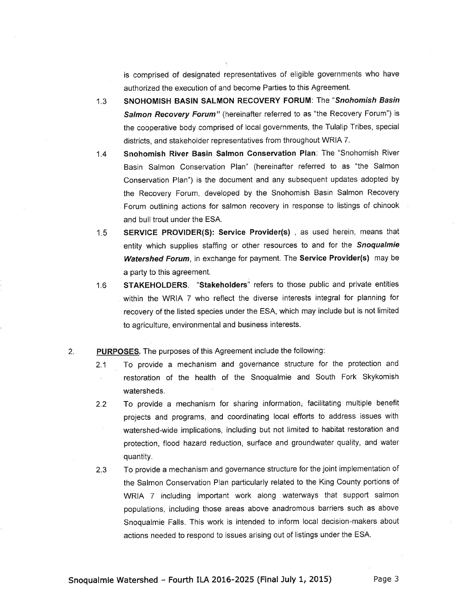is comprised of designated representatives of eligible governments who have authorized the execution of and become Parties to this Agreement.

- 1.3 SNOHOMISH BASIN SALMON RECOVERY FORUM: The "Snohomish Basin Salmon Recovery Forum" (hereinafter referred to as "the Recovery Forum") is the cooperative body comprised of local governments, the Tulalip Tribes, special districts, and stakeholder representatives from throughout WRIA 7.
- Snohomish River Basin Salmon Gonservation Plan: The "Snohomish River Basin Salmon Conservation Plan" (hereinafter referred to as "the Salmon Conservation Plan") is the document and any subsequent updates adopted by the Recovery Forum, developed by the Snohomish Basin Salmon Recovery Forum outlining actions for salmon recovery in response to listings of chinook and bull trout under the ESA. 1.4
- SERVICE PROVIDER(S): Service Provider(s), as used herein, means that entity which supplies staffing or other resources to and for the Snoqualmie Watershed Forum, in exchange for payment. The Service Provider(s) may be a party to this agreement. 1.5
- STAKEHOLDERS. "Stakeholders" refers to those public and private entities within the WRIA 7 who reflect the diverse interests integral for planning for recovery of the listed species under the ESA, which may include but is not limited to agriculture, environmental and business interests. 1.6

### PURPOSES. The purposes of this Agreement include the following: 2.

- 2.1 To provide a mechanism and governance structure for the protection and restoration of the health of the Snoqualmie and South Fork Skykomish watersheds
- 2.2 To provide a rnechanism for sharing information; facilitating multiple benefit projects and programs, and coordinating local efforts to address issues with watershed-wide implications, including but not limited to habitat restoration and protection, flood hazard reduction, surface and groundwater quality, and water quantity.
- 2.3 To provide a mechanism and governance structure for the joint implementation of the Salmon Conservation Plan particularly related to the King County portions of WRIA 7 including important work along waterways that support salmon populations, including those areas above anadromous barriers such as above Snoqualmie Falls. This work is intended to inform local decision-makers about actions needed to respond to issues arising out of listings under the ESA.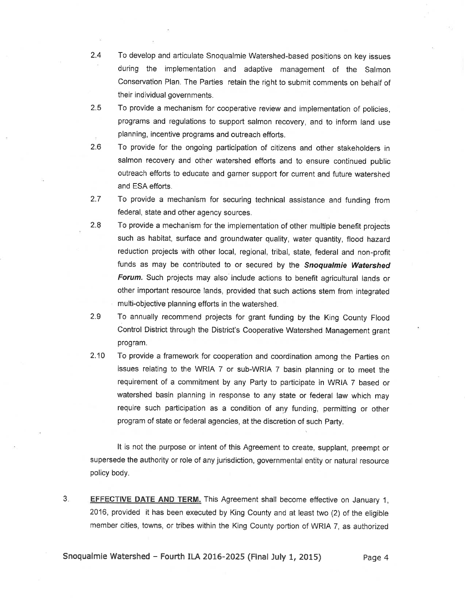- 2.4 To develop and articulate Snoqualmie Watershed-based positions on key issues ' during the implementation and adaptive management of the Salmon Conservation Plan. The Parties retain the right to submit comments on behalf of their individual governments.
- 2.5 To provide a mechanism for cooperative review and implementation of policies, programs and regulations to support salmon recovery, and to inform land use planning, incentive programs and outreach efforts.
- 2.6 To provide for the ongoing participation of citizens and other stakeholders in salmon recovery and other watershed efforts and to ensure continued public outreach efforts to educate and garner support for current and future watershed and ESA efforts.
- 2.7 To provide a mechanism for securing technical assistance and funding from federal, state and other agency sources.
- 2.q To provide a mechanism for the implementation of other multiple benefit projects such as habitat, surface and groundwater quality, water quantity, flood hazard reduction projects with other local, regional, tribal, state, federal and non-profit funds as may be contributed to or secured by the Snoqualmie Watershed Forum. Such projects may also include actions to benefit agricultural lands or other important resource lands, provided that such actions stem from integrated multi-objective planning efforts in the watershed.
- 2.9 To annually recommend projects for grant funding by the King County Flood Control District through the District's Cooperative Watershed Management grant program.
- 2.10 To provide a framework for cooperation and coordination among the Parties on issues relating to the WRIA 7 or sub-WRIA 7 basin planning or to meet the requirement of a commitment by any Party to participate in WRIA 7 based or watershed basin planning in response to any state or federal law which may require such participation as a condition of any funding, permitting or other program of state or federal agencies, at the discretíon of such Party.

It is not the.purpose or intent of this Agreement to create, supplant, preempt or supersede the authority or role of any jurisdiction, governmental entity or natural resource policy body.

**EFFECTIVE DATE AND TERM.** This Agreement shall become effective on January 1, 2016, provided it has been executed by King County and at least two (2) of the eligible member cities, towns, or tribes within the King County portion of WRIA 7, as authorized  $3<sub>1</sub>$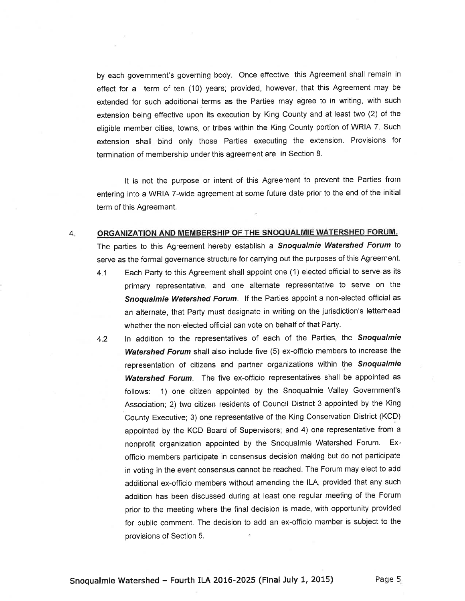by each government's governing body. Once effective, this Agreement shall remain in effect for a term of ten (10) years; provided, however, that this Agreement may be extended for such additional terms as the Parties may agree to in writing, with such extension being effective upon its executíon by King County and at least two (2) of the eligible member cities, towns, or tribes within the King County portion of WRIA 7. Such extension shall bind only those Parties executing the extension. Provisions for termination of membership under this agreement are in Section 8.

It is not the purpose or intent of this Agreement to prevent the Parties from entering into a WRIA 7-wide agreement at some future date prior to the end of the initial term of this Agreement.

## $4.$ ORGANIZATION AND MEMBERSHIP OF THE SNOQUALMIE WATERSHED FORUM.

The parties to this Agreement hereby establish a Snoqualmie Watershed Forum to serve as the formal governance structure for carrying out the purposes of this Agreement.

- 4.1 Each Party to this Agreement shall appoint one (1) elected official to serve as its primary representative, and one alternate representative to serve on the Snoqualmie Watershed Forum. If the Parties appoint a non-elected official as an alternate, that Party must designate in writing on the jurisdiction's letterhead whether the non-elected official can vote on behalf of that Party.
- 4.2 In addition to the representatives of each of the Parties, the Snoqualmie Watershed Forum shall also include five (5) ex-officio members to increase the representation of citizens and partner organizations within the Snoqualmie Watershed Forum. The five ex-officio representatives shall be appointed as follows: 1) one citizen appointed by the Snoqualmie Valley Government's Association; 2) two citizen residents of Council District 3 appointed by the King County Executive; 3) one representative of the King Conservation District (KCD) appointed by the KCD Board of Supervisors; and 4) one representative from a nonprofit organization appointed by the Snoqualmie Watershed Forum. Exofficio members participate in consensus decision making but do not participate in voting in the event consensus cannot be reached. The Forum may elect to add additional ex-officio members without amending the lLA, provided that any such addition has been discussed during at least one regular meeting of the Forum prior to the meeting where the final decision is made, with opportunity provided for public comment. The decision to add an ex-officio member is subject to the provisions of Section 5.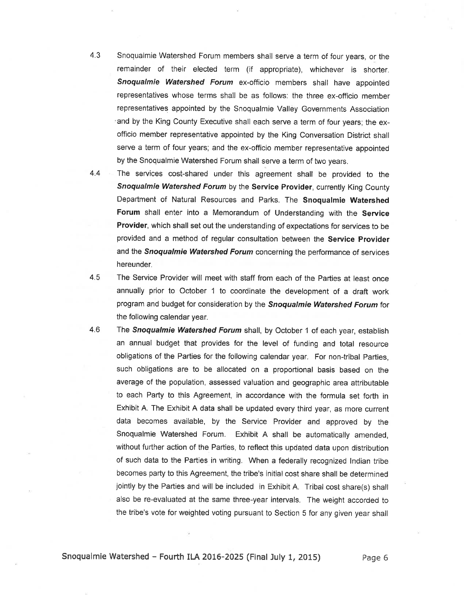- snoqualmie watershed Forum members shall serve a term of four years, or the remainder of their elected term (if appropriate), whichever is shorter. Snoqualmie Watershed Forum ex-officio members shall have appointed representatives whose terms shall be as follows: the three ex-officio member representatives appointed by the Snoqualmie Valley Governments Association and by the King County Executive shall each serve a term of four years; the exofficio member representative appointed by the King Conversation District shall serve a term of four years; and the ex-officio member representative appointed by the Snoqualmie Watershed Forum shall serve a term of two years. 4.3
- The services cost-shared under this agreement shall be provided to the Snoqualmie Watershed Forum by the Service Provider, currently King County Department of Natural Resources and Parks. The Snoqualmie Watershed Forum shall enter into a Memorandum of Understanding with the Service Provider, which shall set out the understanding of expectations for services to be provided and a method of regular consultation between the Service Provider and the Snoqualmie Watershed Forum concerning the performance of services hereunder. 4,4
- The Service Provider will meet with staff from each of the Parties at least once annually prior to October 1 to coordinate the development of a draft work program and budget for consideration by the Snoqualmie Watershed Forum for the following calendar year. 4.5
- The Snoqualmie Watershed Forum shall, by October 1 of each year, establish an annual budget that provides for the level of funding and total resource obligations of the Parties for the following calendar year. For non-tribal Parties, such obligations are to be allocated on a proportional basis based on the average of the population, assessed valuation and geographic area attributable to each Party to this Agreement, in accordance with the formula set forth in Exhibit A. The Exhibit A data shall be updated every third year, as more current data becomes available, by the Service Provider and approved by the Snoqualmie Watershed Forum. Exhibit A shall be automatically amended, without further action of the Parties, to reflect this updated data upon distribution of such data to the Parties in writing. When a federally recognized lndian tribe becomes party to this Agreement, the tribe's initial cost share shall be determined jointly by the Parties and will be inciuded in Exhibit A. Tribal cost share(s) shall also be re-evaluated at the same three-year intervals. The weight accorded to the tribe's vote for weighted voting pursuant to Section 5 for any given year shall 4.6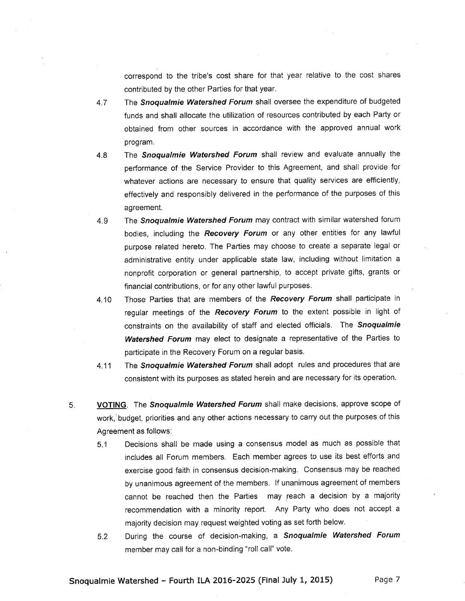correspond to the tribe's cost share for that year relative to the cost shares contributed by the other Parties for that year.

- 4.7 The Snoqualmie Watershed Forum shall oversee the expenditure of budgeted funds and shall allocate the utilization of resources contributed by each Party or obtained from other sources in accordance with the approved annual work program.
- 4.8 The Snoqualmie Watershed Forum shall review and evaluate annually the performance of the Service Provider to this Agreement, and shall provide for whatever actions are necessary to ensure that quality services are efficiently, effectively and responsibly delivered in the performance of the purposes of this agreement.
- 4.9 The Snoqualmie Watershed Forum may contract with similar watershed forum bodies, including the Recovery Forum or any other entities for any lawful purpose related hereto. The Parties may choose to create a separate legal or administrative entity under applicable state law, including without limitation a nonprofit corporation or general partnership, to accept private gifts, grants or financial contributions, or for any other lawful purposes.
- 4.10 Those Parties that are members of the Recovery Forum shall participate in regular meetings of the Recovery Forum to the extent possible in light of constraints on the availability of staff and elected officials. The Snoqualmie Watershed Forum may elect to designate a representative of the Parties to participate in the Recovery Forum on a regular basis.
- 4.11 The Snoqualmie Watershed Forum shall adopt rules and procedures that are consistent with its purposes as stated herein and are necessary for its operation.
- 5. VOTING. The Snoqualmie Watershed Forum shall make decisions, approve scope of work,'budget, priorities and any other actions necessary to carry out the purposes of this Agreement as follows:
	- 5.1 Decisions shall be made using a consensus model as much as possible that includes all Forum members. Each member agrees to use its best efforts and exercise good faith in consensus decision-making. Consensus may be reached by unanimous agreement of the members. lf unanimous agreement of members cannot be reached then the Parties may reach a decision by a majority recommendation with a minority report. Any Party who does not accept <sup>a</sup> majority decision may request weighted voting as set forth below.
	- 5.2 During the course of decision-making, a Snoqualmie Watershed Forum member may call for a non-binding "roll call" vote.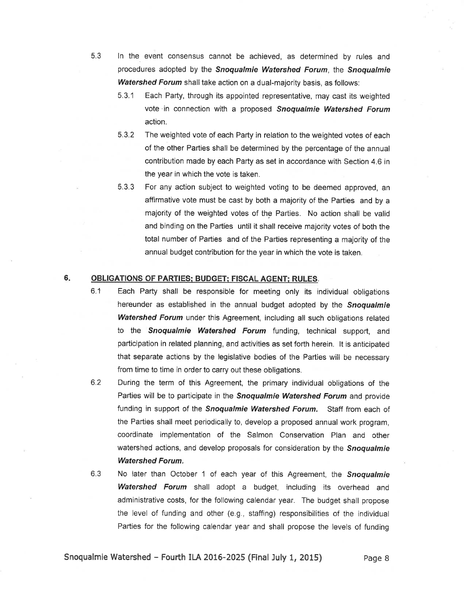- 5.3 ln the event consensus cannot be achieved, as determined by rules and procedures adopted by the **Snoqualmie Watershed Forum**, the **Snoqualmie** Watershed Forum shall take action on a dual-majority basis, as follows:
	- 5.3.1 Each Party, through its appointed representative, may cast its weighted vote in connection with a proposed Snoqualmie Watershed Forum action.

5.3.2 The weighted vote of each Party in relation to the weighted votes of each of the other Parties shall be determined by the percentage of the annual contribution made by each Party as set in accordance with Section 4.6 in the year in which the vote is taken.

5.3.3 For any action subject to weighted voting to be deemed approved, an affirmative vote must be cast by both a majority of the Parties and by a majority of the weighted votes of the Parties. No action shall be valid and binding on the Parties until it shall receive majority votes of both the total number of Parties and of the Parties representing a majority of the annual budget contribution for the year in which the vote is taken.

### 6 OBLIGATIONS OF PARTIES: BUDGET: FISGAL AGENT: RULES.

- 6.1 Each Party shall be responsible for meeting only its individual obligations hereunder as established in the annual budget adopted by the Snoqualmie Watershed Forum under this Agreement, including all such obligations related to the Snoqualmie Watershed Forum funding, technical support, and participation in related planning, and activities as set forth herein. lt is anticipated that separate actions by the legislative bodies of the Parties will be necessary from time to time in order to carry out these obligations.
- 6.2 During the term of this Agreement, the primary individual obligations of the Parties will be to participate in the Snoqualmie Watershed Forum and provide funding in support of the Snoqualmie Watershed Forum. Staff from each of the Parties shall meet periodically to, develop a proposed annual work program, coordinate implementation of the Salmon Conservation Plan and other watershed actions, and develop proposals for consideration by the **Snoqualmie** Watershed Forum.
- 6.3 No later than October 1 of each year of this Agreement, the **Snoqualmie** Watershed Forum shall adopt a budget, including its overhead and administrative costs, for the following calendar year. The budget shall propose the level of funding and other (e.9., staffing) responsibilities of the individual Parties for the following calendar year and shall propose the levels of funding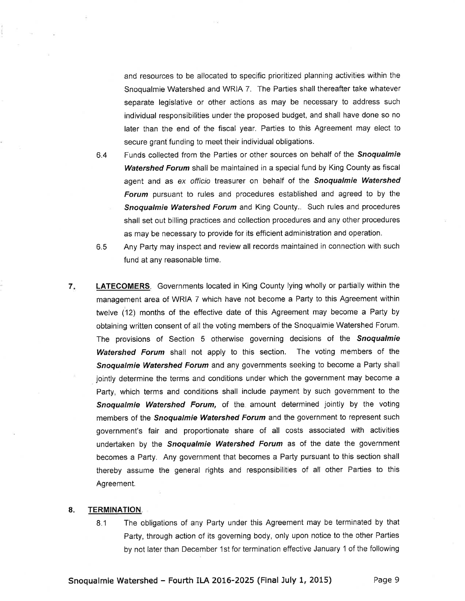and resources to be allocated to specific prioritized planning activities within the Snoqualmie Watershed and WRIA 7. The Parties shall thereafter take whatever separate legislative or other actions as may be necessary to address such individual responsibilities under the proposed budget, and shall have done so no later than the end of the fiscal year. Parties to this Agreement may elect to secure grant funding to meet their individual obligations.

- 6.4 Funds collected from the Parties or other sources on behalf of the Snoqualmie Watershed Forum shall be maintained in a special fund by King County as fiscal agent and as ex officio treasurer on behalf of the Snoqualmie Watershed Forum pursuant to rules and procedures established and agreed to by the **Snoqualmie Watershed Forum** and King County.. Such rules and procedures shall set out billing practices and collection procedures and any other procedures as may be necessary to provide for its efficient administration and operation.
- 6.5 Any Party may inspect and review all records maintained in connection with such fund at any reasonable time.
- 7. LATECOMERS. Governments located in King County lying wholly or partially within the management area of WRIA 7 which have not become a Party to this Agreement within twelve (12) months of the effective date of this Agreement may become a Party by obtaining written consent of all the voting members of the Snoqualmie Watershed Forum. The provisions of Section 5 otherwise governing decisions of the **Snoqualmie** Watershed Forum shall not apply to this section. The voting members of the Snoqualmie Watershed Forum and any governments seeking to become a Party shall jointly determine the terms and conditions under which the government may become a Party, which terms and conditions shall include payment by such government to the Snoqualmie Watershed Forum, of the amount determined jointly by the voting members of the *Snoqualmie Watershed Forum* and the government to represent such government's fair and proportionate share of all costs associated with activities undertaken by the Snoqualmie Watershed Forum as of the date the government becomes a Party. Any government that becomes a Party pursuant to this section shall thereby assume the general rights and responsibilities of all other Parties to this Agreement.

# 8. TERMINATION.

8.1 The obligations of any Party under this Agreement may be terminated by that Party, through action of its governing body, only upon notice to the other Parties by not later than December '1st for termination effective January '1 of the following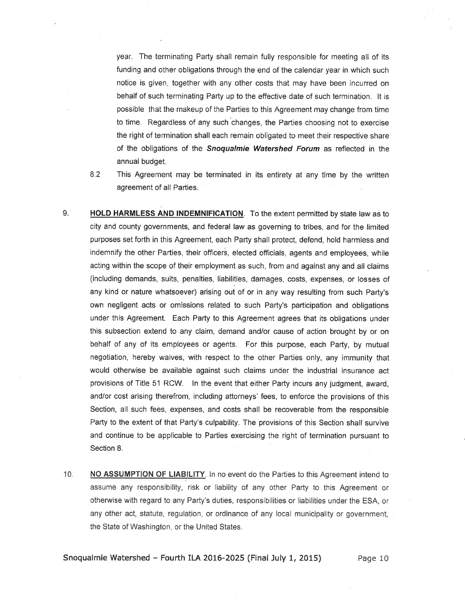year. The terminating Party shall remain fully responsible for meeting all of its funding and other obligations through the end of the calendar year in which such notice is given, together with any other costs that may have been incurred on behalf of such terminating Party up to the effective date of such termination. lt is possible that the makeup of the Parties to this Agreement may change from time to time. Regardless of any such changes, the Parties choosing not to exercise the right of termination shall each remain obligated to meet their respective share of the obligations of the Snoqualmie Watershed Forum as reflected in the annual budget.

8.2

This Agreement may be terminated in its entirety at any time by the written agreement of all Parties

- 9. HOLD HARMLESS AND INDEMNIFICATION. To the extent permitted by state law as to city and county governments, and federal law as governing to tribes, and for the limited purposes set forth in this Agreement, each Party shall protect, defend, hold harmless and indemnify the other Parties, their officers, elected officials, agents and employees, while acting within the scope of their employment as such, from and against any and all claims (including demands, suits, penalties, liabilities, damages, costs, expenses, or losses of any kind or nature whatsoever) arising out of or in any way resulting from such Party's own negligent acts or omissions related to such Party's participatíon and obligations under this Agreement. Each Party to this Agreement agrees that its obligations under this subsection extend to any claim, demand and/or cause of action brought by or on behalf of any of its employees or agents. For this purpose, each Party, by mutual negotiation, hereby waives, with respect to the other Parties only, any immunity that would otherwise be available against such claims under the industrial insurance act provisions of Title 51 RCW. ln the event that either Party incurs any judgment, award, and/or cost arising therefrom, including attorneys' fees, to enforce the provisions of this Section, all such fees, expenses, and costs shall be recoverable from the responsible Party to the extent of that Party's culpability. The provisions of this Section shall survive and continue to be applicable to Parties exercising the right of termination pursuant to Section 8.
- 10. NO ASSUMPTION OF LIABILITY. In no event do the Parties to this Agreement intend to assume any responsibility, risk or liability of any other Party to this Agreement or otherwise with regard to any Party's duties, responsibilities or liabilities under the ESA, or any other act, statute, regulation, or ordinance of any local municipality or government, the State of Washington, or the United States.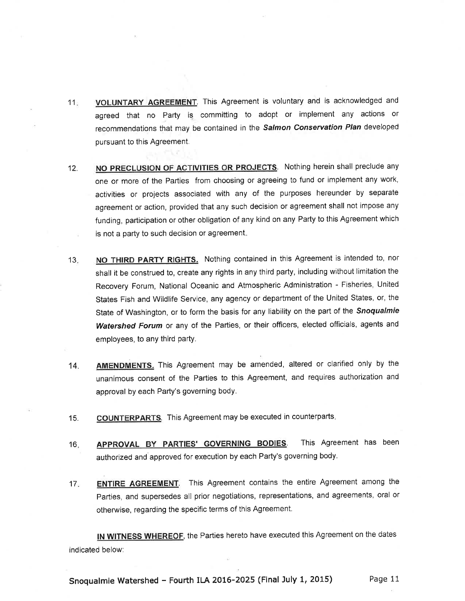- 11. VOLUNTARY AGREEMENT. This Agreement is voluntary and is acknowledged and agreed that no Party is committing to adopt or implement any actions or recommendations that may be contained in the Salmon Conservation Plan developed pursuant to this Agreement.
- 12. NO PRECLUSION OF ACTIVITIES OR PROJECTS. Nothing herein shall preclude any one or more of the Parties from choosing or agreeing to fund or implement any work, activities or projects associated with any of the purposes hereunder by separate agreement or action, provided that any such decision or agreement shall not impose any funding, participation or other obligation of any kind on any Party to this Agreement which is not a party to such decision or agreement.
- 13. NO THIRD PARTY RIGHTS. Nothing contained in this Agreement is intended to, nor shall it be construed to, create any rights in any third party, including without limitation the Recovery Forum, National Oceanic and Atmospheric Administration - Fisheries, United States Fish and Wildlife Service, any agency or department of the United States, or, the State of Washington, or to form the basis for any liability on the part of the Snoqualmie Watershed Forum or any of the Parties, or their officers, elected officials, agents and employees, to any third party.
- 14. **AMENDMENTS.** This Agreement may be amended, altered or clarified only by the unanimous consent of the Parties to this Agreement, and requires authorization and approval by each Party's governing body.
- 15. **COUNTERPARTS**. This Agreement may be executed in counterparts.
- 16. **APPROVAL BY PARTIES' GOVERNING BODIES**. This Agreement has been authorized and approved for execution by each Party's governing body.
- 17. ENTIRE AGREEMENT. This Agreement contains the entire Agreement among the parties, and supersedes all prior negotiations, representations, and agreements, oral or otherwise, regarding the specific terms of this Agreement.

IN WITNESS WHEREOF, the Parties hereto have executed this Agreement on the dates indicated below: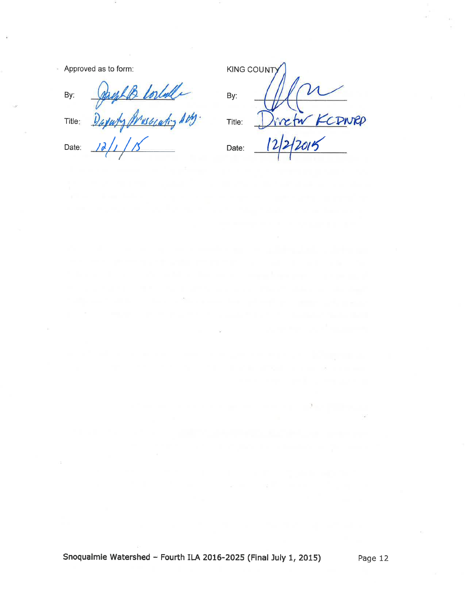Approved as to form:

Date:

| By:    | sauf B torlulle       |
|--------|-----------------------|
| Title: | Daywhy Muscleting AM. |

 $12/1/15$ 

|        | <b>KING COUNT)</b> |
|--------|--------------------|
| By:    |                    |
| Title: | CONNEP             |
| Date:  | 3/2015             |

Date:  $\overline{\phantom{a}}$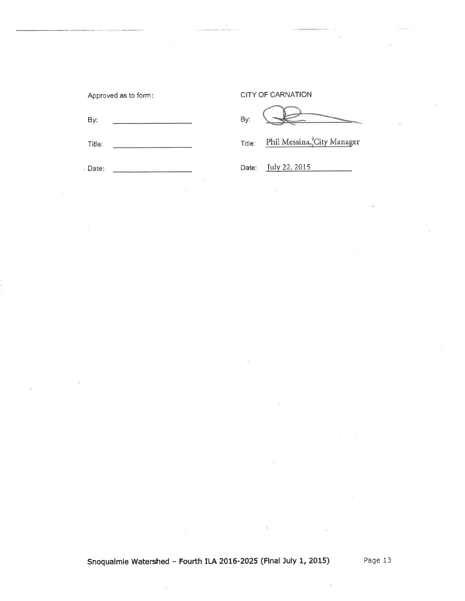| Approved as to form: | <b>CITY OF CARNATION</b>             |  |
|----------------------|--------------------------------------|--|
| By:                  | By:                                  |  |
| Title:               | Phil Messina, City Manager<br>Title: |  |
| - Date:<br>÷         | July 22, 2015<br>Date:               |  |
|                      |                                      |  |

ŵ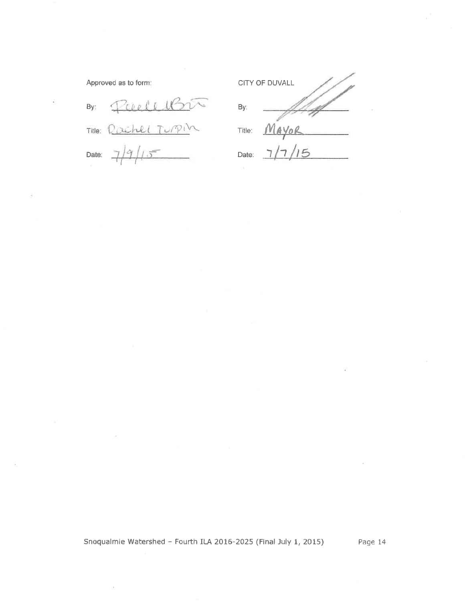Approved as to form:

 $By:$ 4 Title: Rachel Turpin Date:

CITY OF DUVALL By: AYOR  ${\underline{\mathsf M}}$ Title:  $\zeta$ Date:

Snoqualmie Watershed - Fourth ILA 2016-2025 (Final July 1, 2015)

Page 14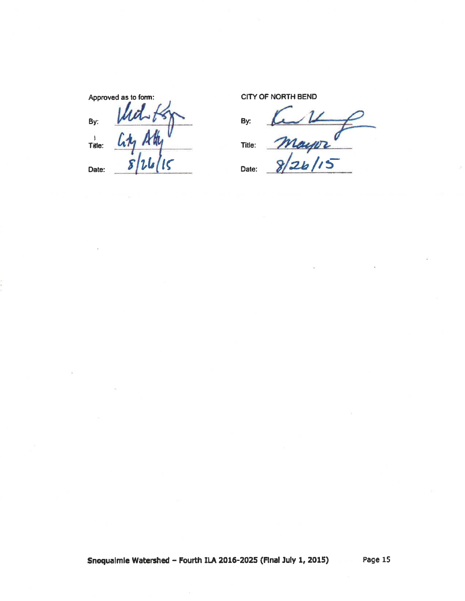By:  $\mathsf{By}$ : By: ,<br>Title:

Approved as to form: CITY OF NORTH BEND

Title: Title:  $\frac{l_1t_1}{s|2l_1|15}$  Title:  $\frac{m_2p_2}{s|2l_1|15}$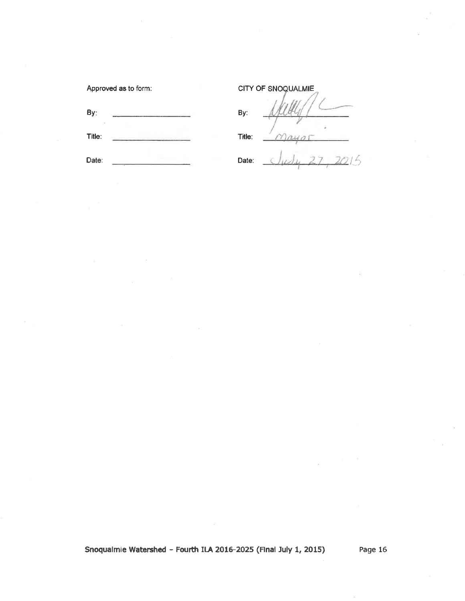| Approved as to form: | CITY OF SNOQUALMIE |  |
|----------------------|--------------------|--|
| By:                  | By:                |  |
| Title:               | Title:             |  |
| Date:                | Date:              |  |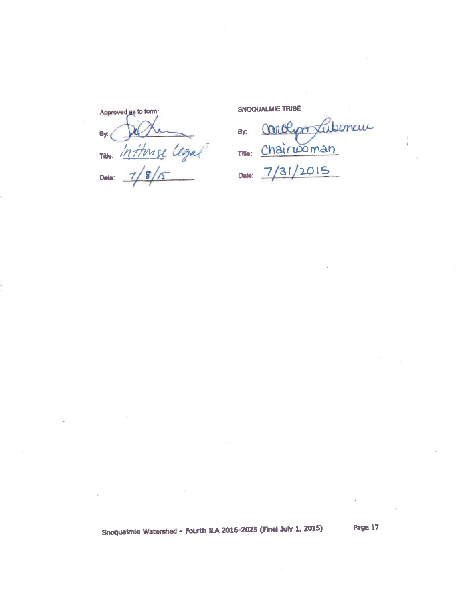Approved as to form: By: Title: Inthinse Legal Date:

SNOQUALMIE TRIBE

Carolypo Lubonau By: Title: Chairwoman Date: 7/31/2015

Snoqualmie Watershed - Fourth N.A 2016-2025 (Final July 1, 2015)

Page 17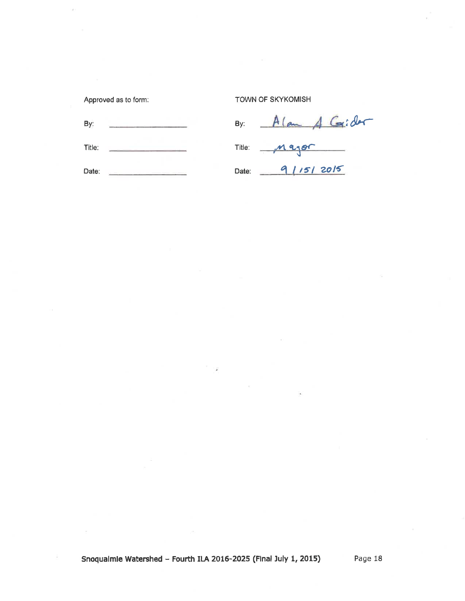Approved as to form:

TOWN OF SKYKOMISH

| By:    | By:   | Alam A Goider |
|--------|-------|---------------|
| Title: |       | Title: Major  |
| Date:  | Date: | 9/15/2015     |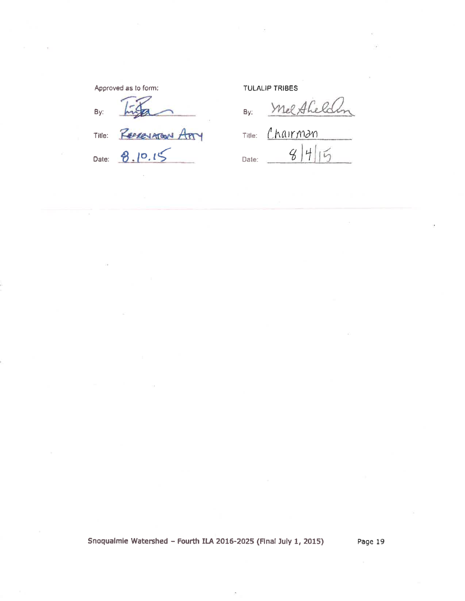Approved as to form: By: RECREVATORN APTY Title: Date: 8.10.15

**TULALIP TRIBES** 

Mel Aheldlon By: Title: Chairman  $8|4|$  $\overline{5}$ Date:

Snoqualmie Watershed - Fourth ILA 2016-2025 (Final July 1, 2015)

Page 19